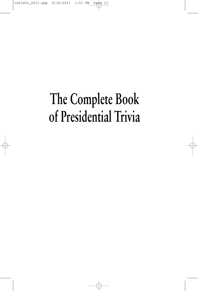# The Complete Book of Presidential Trivia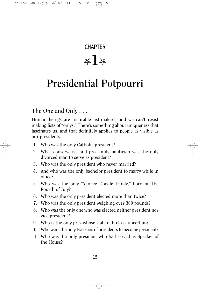# **CHAPTER**  $*1*$

# **Presidential Potpourri**

# **The One and Only . . .**

Human beings are incurable list-makers, and we can't resist making lists of "onlys." There's something about uniqueness that fascinates us, and that definitely applies to people as visible as our presidents.

- 1. Who was the only Catholic president?
- 2. What conservative and pro-family politician was the only divorced man to serve as president?
- 3. Who was the only president who never married?
- 4. And who was the only bachelor president to marry while in office?
- 5. Who was the only "Yankee Doodle Dandy," born on the Fourth of July?
- 6. Who was the only president elected more than twice?
- 7. Who was the only president weighing over 300 pounds?
- 8. Who was the only one who was elected neither president nor vice president?
- 9. Who is the only prez whose state of birth is uncertain?
- 10. Who were the only two sons of presidents to become president?
- 11. Who was the only president who had served as Speaker of the House?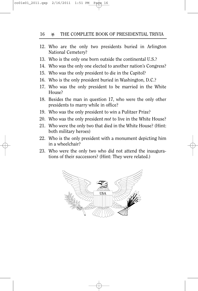#### 16 **X** THE COMPLETE BOOK OF PRESIDENTIAL TRIVIA

- 12. Who are the only two presidents buried in Arlington National Cemetery?
- 13. Who is the only one born outside the continental U.S.?
- 14. Who was the only one elected to another nation's Congress?
- 15. Who was the only president to die in the Capitol?
- 16. Who is the only president buried in Washington, D.C.?
- 17. Who was the only president to be married in the White House?
- 18. Besides the man in question 17, who were the only other presidents to marry while in office?
- 19. Who was the only president to win a Pulitzer Prize?
- 20. Who was the only president *not* to live in the White House?
- 21. Who were the only two that died in the White House? (Hint: both military heroes)
- 22. Who is the only president with a monument depicting him in a wheelchair?
- 23. Who were the only two who did not attend the inaugurations of their successors? (Hint: They were related.)

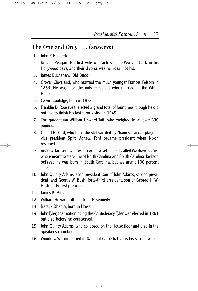## **The One and Only . . . (answers)**

- 1. John F. Kennedy.
- 2. Ronald Reagan. His first wife was actress Jane Wyman, back in his Hollywood days, and their divorce was her idea, not his.
- 3. James Buchanan,"Old Buck."
- 4. Grover Cleveland, who married the much younger Frances Folsom in 1886. He was also the only president who married in the White House.
- 5. Calvin Coolidge, born in 1872.
- 6. Franklin D. Roosevelt, elected a grand total of four times, though he did not live to finish his last term, dying in 1945.
- 7. The gargantuan William Howard Taft, who weighed in at over 330 pounds.
- 8. Gerald R. Ford, who filled the slot vacated by Nixon's scandal-plagued vice president Spiro Agnew. Ford became president when Nixon resigned.
- 9. Andrew Jackson, who was born in a settlement called Waxhaw, somewhere near the state line of North Carolina and South Carolina. Jackson believed he was born in South Carolina, but we aren't 100 percent sure.
- 10. John Quincy Adams, sixth president, son of John Adams, second president, and George W. Bush, forty-third president, son of George H. W. Bush, forty-first president.
- 11. James K. Polk.
- 12. William Howard Taft and John F. Kennedy.
- 13. Barack Obama, born in Hawaii.
- 14. John Tyler, that nation being the Confederacy.Tyler was elected in 1861 but died before he ever served.
- 15. John Quincy Adams, who collapsed on the House floor and died in the Speaker's chamber.
- 16. Woodrow Wilson, buried in National Cathedral, as is his second wife.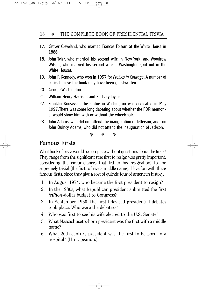- 17. Grover Cleveland, who married Frances Folsom at the White House in 1886.
- 18. John Tyler, who married his second wife in New York, and Woodrow Wilson, who married his second wife in Washington (but not in the White House).
- 19. John F. Kennedy, who won in 1957 for *Profiles in Courage*. A number of critics believe the book may have been ghostwritten.
- 20. George Washington.
- 21. William Henry Harrison and Zachary Taylor.
- 22. Franklin Roosevelt. The statue in Washington was dedicated in May 1997.There was some long debating about whether the FDR memorial would show him with or without the wheelchair.
- 23. John Adams, who did not attend the inauguration of Jefferson, and son John Quincy Adams, who did not attend the inauguration of Jackson.

\* \* \*

#### **Famous Firsts**

What book of trivia would be complete without questions about the firsts? They range from the significant (the first to resign was pretty important, considering the circumstances that led to his resignation) to the supremely trivial (the first to have a middle name). Have fun with these famous firsts, since they give a sort of quickie tour of American history.

- 1. In August 1974, who became the first president to resign?
- 2. In the 1980s, what Republican president submitted the first *trillion*-dollar budget to Congress?
- 3. In September 1960, the first televised presidential debates took place. Who were the debaters?
- 4. Who was first to see his wife elected to the U.S. Senate?
- 5. What Massachusetts-born president was the first with a middle name?
- 6. What 20th-century president was the first to be born in a hospital? (Hint: peanuts)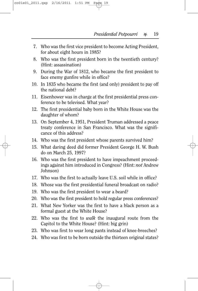- 7. Who was the first vice president to become Acting President, for about eight hours in 1985?
- 8. Who was the first president born in the twentieth century? (Hint: assassination)
- 9. During the War of 1812, who became the first president to face enemy gunfire while in office?
- 10. In 1835 who became the first (and only) president to pay off the national debt?
- 11. Eisenhower was in charge at the first presidential press conference to be televised. What year?
- 12. The first presidential baby born in the White House was the daughter of whom?
- 13. On September 4, 1951, President Truman addressed a peace treaty conference in San Francisco. What was the significance of this address?
- 14. Who was the first president whose parents survived him?
- 15. What daring deed did former President George H. W. Bush do on March 25, 1997?
- 16. Who was the first president to have impeachment proceedings against him introduced in Congress? (Hint: *not* Andrew Johnson)
- 17. Who was the first to actually leave U.S. soil while in office?
- 18. Whose was the first presidential funeral broadcast on radio?
- 19. Who was the first president to wear a beard?
- 20. Who was the first president to hold regular press conferences?
- 21. What New Yorker was the first to have a black person as a formal guest at the White House?
- 22. Who was the first to *walk* the inaugural route from the Capitol to the White House? (Hint: big grin)
- 23. Who was first to wear long pants instead of knee-breeches?
- 24. Who was first to be born outside the thirteen original states?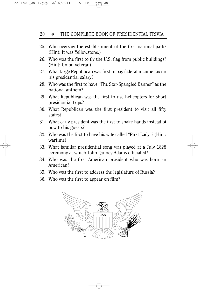#### 20 **WE THE COMPLETE BOOK OF PRESIDENTIAL TRIVIA**

- 25. Who oversaw the establishment of the first national park? (Hint: It was Yellowstone.)
- 26. Who was the first to fly the U.S. flag from public buildings? (Hint: Union veteran)
- 27. What large Republican was first to pay federal income tax on his presidential salary?
- 28. Who was the first to have "The Star-Spangled Banner" as the national anthem?
- 29. What Republican was the first to use helicopters for short presidential trips?
- 30. What Republican was the first president to visit all fifty states?
- 31. What early president was the first to shake hands instead of bow to his guests?
- 32. Who was the first to have his wife called "First Lady"? (Hint: wartime)
- 33. What familiar presidential song was played at a July 1828 ceremony at which John Quincy Adams officiated?
- 34. Who was the first American president who was born an American?
- 35. Who was the first to address the legislature of Russia?
- 36. Who was the first to appear on film?

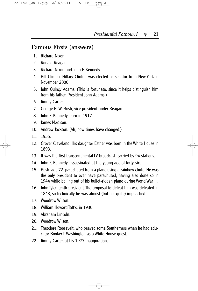#### **Famous Firsts (answers)**

- 1. Richard Nixon.
- 2. Ronald Reagan.
- 3. Richard Nixon and John F. Kennedy.
- 4. Bill Clinton. Hillary Clinton was elected as senator from New York in November 2000.
- 5. John Quincy Adams. (This is fortunate, since it helps distinguish him from his father, President John Adams.)
- 6. Jimmy Carter.
- 7. George H. W. Bush, vice president under Reagan.
- 8. John F. Kennedy, born in 1917.
- 9. James Madison.
- 10. Andrew Jackson. (Ah, how times have changed.)
- 11. 1955.
- 12. Grover Cleveland. His daughter Esther was born in the White House in 1893.
- 13. It was the first transcontinental TV broadcast, carried by 94 stations.
- 14. John F. Kennedy, assassinated at the young age of forty-six.
- 15. Bush, age 72, parachuted from a plane using a rainbow chute. He was the only president to ever have parachuted, having also done so in 1944 while bailing out of his bullet-ridden plane during World War II.
- 16. John Tyler, tenth president.The proposal to defeat him was defeated in 1843, so technically he was almost (but not quite) impeached.
- 17. Woodrow Wilson.
- 18. William Howard Taft's, in 1930.
- 19. Abraham Lincoln.
- 20. Woodrow Wilson.
- 21. Theodore Roosevelt, who peeved some Southerners when he had educator Booker T. Washington as a White House guest.
- 22. Jimmy Carter, at his 1977 inauguration.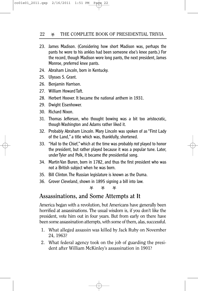- 23. James Madison. (Considering how short Madison was, perhaps the pants he wore to his ankles had been someone else's knee pants.) For the record, though Madison wore long pants, the next president, James Monroe, preferred knee pants.
- 24. Abraham Lincoln, born in Kentucky.
- 25. Ulysses S. Grant.
- 26. Benjamin Harrison.
- 27. William Howard Taft.
- 28. Herbert Hoover. It became the national anthem in 1931.
- 29. Dwight Eisenhower.
- 30. Richard Nixon.
- 31. Thomas Jefferson, who thought bowing was a bit too aristocratic, though Washington and Adams rather liked it.
- 32. Probably Abraham Lincoln. Mary Lincoln was spoken of as "First Lady of the Land," a title which was, thankfully, shortened.
- 33. "Hail to the Chief,"which at the time was probably *not* played to honor the president, but rather played because it was a popular tune. Later, under Tyler and Polk, it became *the* presidential song.
- 34. Martin Van Buren, born in 1782, and thus the first president who was not a British subject when he was born.
- 35. Bill Clinton.The Russian legislature is known as the Duma.
- 36. Grover Cleveland, shown in 1895 signing a bill into law.

资 资 资

## **Assassinations, and Some Attempts at It**

America began with a revolution, but Americans have generally been horrified at assassinations. The usual wisdom is, if you don't like the president, vote him out in four years. But from early on there have been some assassination attempts, with some of them, alas, successful.

- 1. What alleged assassin was killed by Jack Ruby on November 24, 1963?
- 2. What federal agency took on the job of guarding the president after William McKinley's assassination in 1901?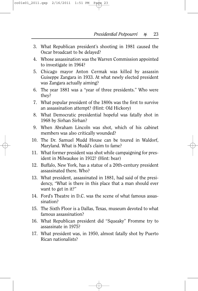- 3. What Republican president's shooting in 1981 caused the Oscar broadcast to be delayed?
- 4. Whose assassination was the Warren Commission appointed to investigate in 1964?
- 5. Chicago mayor Anton Cermak was killed by assassin Guiseppe Zangara in 1933. At what newly elected president was Zangara actually aiming?
- 6. The year 1881 was a "year of three presidents." Who were they?
- 7. What popular president of the 1800s was the first to survive an assassination attempt? (Hint: Old Hickory)
- 8. What Democratic presidential hopeful was fatally shot in 1968 by Sirhan Sirhan?
- 9. When Abraham Lincoln was shot, which of his cabinet members was also critically wounded?
- 10. The Dr. Samuel Mudd House can be toured in Waldorf, Maryland. What is Mudd's claim to fame?
- 11. What former president was shot while campaigning for president in Milwaukee in 1912? (Hint: bear)
- 12. Buffalo, New York, has a statue of a 20th-century president assassinated there. Who?
- 13. What president, assassinated in 1881, had said of the presidency, "What is there in this place that a man should ever want to get in it?"
- 14. Ford's Theatre in D.C. was the scene of what famous assassination?
- 15. The Sixth Floor is a Dallas, Texas, museum devoted to what famous assassination?
- 16. What Republican president did "Squeaky" Fromme try to assassinate in 1975?
- 17. What president was, in 1950, almost fatally shot by Puerto Rican nationalists?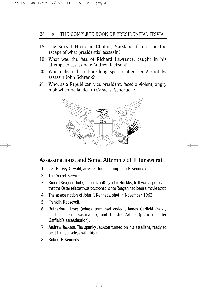#### 24 **X** THE COMPLETE BOOK OF PRESIDENTIAL TRIVIA

- 18. The Surratt House in Clinton, Maryland, focuses on the escape of what presidential assassin?
- 19. What was the fate of Richard Lawrence, caught in his attempt to assassinate Andrew Jackson?
- 20. Who delivered an hour-long speech after being shot by assassin John Schrank?
- 21. Who, as a Republican vice president, faced a violent, angry mob when he landed in Caracas, Venezuela?



#### **Assassinations, and Some Attempts at It (answers)**

- 1. Lee Harvey Oswald, arrested for shooting John F. Kennedy.
- 2. The Secret Service.
- 3. Ronald Reagan, shot (but not killed) by John Hinckley, Jr. It was appropriate that the Oscar telecast was postponed, since Reagan had been a movie actor.
- 4. The assassination of John F. Kennedy, shot in November 1963.
- 5. Franklin Roosevelt.
- 6. Rutherford Hayes (whose term had ended), James Garfield (newly elected, then assassinated), and Chester Arthur (president after Garfield's assassination).
- 7. Andrew Jackson.The spunky Jackson turned on his assailant, ready to beat him senseless with his cane.
- 8. Robert F. Kennedy.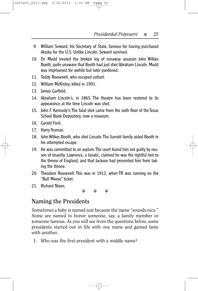- 9. William Seward, his Secretary of State, famous for having purchased Alaska for the U.S. Unlike Lincoln, Seward survived.
- 10. Dr. Mudd treated the broken leg of runaway assassin John Wilkes Booth, quite unaware that Booth had just shot Abraham Lincoln. Mudd was imprisoned for awhile but later pardoned.
- 11. Teddy Roosevelt, who escaped unhurt.
- 12. William McKinley, killed in 1901.
- 13. James Garfield.
- 14. Abraham Lincoln's, in 1865. The theatre has been restored to its appearance at the time Lincoln was shot.
- 15. John F. Kennedy's.The fatal shot came from the sixth floor of the Texas School Book Depository, now a museum.
- 16. Gerald Ford.
- 17. Harry Truman.
- 18. John Wilkes Booth, who shot Lincoln.The Surratt family aided Booth in his attempted escape.
- 19. He was committed to an asylum.The court found him not guilty by reason of insanity. Lawrence, a lunatic, claimed he was the rightful heir to the throne of England, and that Jackson had prevented him from taking the throne.
- 20. Theodore Roosevelt. This was in 1912, when TR was running on the "Bull Moose" ticket.
- 21. Richard Nixon.

\* \* \*

## **Naming the Presidents**

Sometimes a baby is named just because the name "sounds nice." Some are named to honor someone, say, a family member or someone famous. As you will see from the questions below, some presidents started out in life with one name and gained fame with another.

1. Who was the first president with a middle name?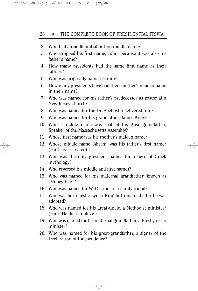- 2. Who had a middle initial but no middle name?
- 3. Who dropped his first name, John, because it was also his father's name?
- 4. How many presidents had the same first name as their fathers?
- 5. Who was originally named Hiram?
- 6. How many presidents have had their mother's maiden name in their name?
- 7. Who was named for his father's predecessor as pastor at a New Jersey church?
- 8. Who was named for the Dr. Abell who delivered him?
- 9. Who was named for his grandfather, James Knox?
- 10. Whose middle name was that of his great-grandfather, Speaker of the Massachusetts Assembly?
- 11. Whose first name was his mother's maiden name?
- 12. Whose middle name, Abram, was his father's first name? (Hint: assassinated)
- 13. Who was the only president named for a hero of Greek mythology?
- 14. Who reversed his middle and first names?
- 15. Who was named for his maternal grandfather, known as "Honey Fitz"?
- 16. Who was named for W. C. Linden, a family friend?
- 17. Who was born Leslie Lynch King but renamed after he was adopted?
- 18. Who was named for his great-uncle, a Methodist minister? (Hint: He died in office.)
- 19. Who was named for his maternal grandfather, a Presbyterian minister?
- 20. Who was named for his great-grandfather, a signer of the Declaration of Independence?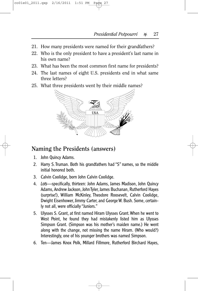- 21. How many presidents were named for their grandfathers?
- 22. Who is the only president to have a president's last name in his own name?
- 23. What has been the most common first name for presidents?
- 24. The last names of eight U.S. presidents end in what same three letters?
- 25. What three presidents went by their middle names?



#### **Naming the Presidents (answers)**

- 1. John Quincy Adams.
- 2. Harry S.Truman. Both his grandfathers had "S" names, so the middle initial honored both.
- 3. Calvin Coolidge, born John Calvin Coolidge.
- 4. *Lots*—specifically, thirteen: John Adams, James Madison, John Quincy Adams, Andrew Jackson, John Tyler, James Buchanan, Rutherford Hayes (surprise!), William McKinley, Theodore Roosevelt, Calvin Coolidge, Dwight Eisenhower, Jimmy Carter, and George W. Bush. Some, certainly not all, were officially "Juniors."
- 5. Ulysses S. Grant, at first named Hiram Ulysses Grant.When he went to West Point, he found they had mistakenly listed him as Ulysses Simpson Grant. (Simpson was his mother's maiden name.) He went along with the change, not missing the name Hiram. (Who would?) Interestingly, one of his younger brothers was named Simpson.
- 6. Ten—James Knox Polk, Millard Fillmore, Rutherford Birchard Hayes,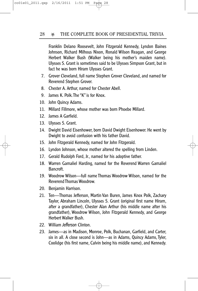Franklin Delano Roosevelt, John Fitzgerald Kennedy, Lyndon Baines Johnson, Richard Milhous Nixon, Ronald Wilson Reagan, and George Herbert Walker Bush (Walker being his mother's maiden name). Ulysses S. Grant is sometimes said to be Ulysses Simpson Grant, but in fact he was born Hiram Ulysses Grant.

- 7. Grover Cleveland, full name Stephen Grover Cleveland, and named for Reverend Stephen Grover.
- 8. Chester A. Arthur, named for Chester Abell.
- 9. James K. Polk.The "K" is for Knox.
- 10. John Quincy Adams.
- 11. Millard Fillmore, whose mother was born Phoebe Millard.
- 12. James A Garfield.
- 13. Ulysses S. Grant.
- 14. Dwight David Eisenhower, born David Dwight Eisenhower. He went by Dwight to avoid confusion with his father David.
- 15. John Fitzgerald Kennedy, named for John Fitzgerald.
- 16. Lyndon Johnson, whose mother altered the spelling from Linden.
- 17. Gerald Rudolph Ford, Jr., named for his adoptive father.
- 18. Warren Gamaliel Harding, named for the Reverend Warren Gamaliel Bancroft.
- 19. Woodrow Wilson—full name Thomas Woodrow Wilson, named for the Reverend Thomas Woodrow.
- 20. Benjamin Harrison.
- 21. Ten—Thomas Jefferson, Martin Van Buren, James Knox Polk, Zachary Taylor, Abraham Lincoln, Ulysses S. Grant (original first name Hiram, after a grandfather), Chester Alan Arthur (his middle name after his grandfather), Woodrow Wilson, John Fitzgerald Kennedy, and George Herbert Walker Bush.
- 22. William *Jefferson* Clinton.
- 23. James—as in Madison, Monroe, Polk, Buchanan, Garfield, and Carter, six in all. A close second is John—as in Adams, Quincy Adams, Tyler, Coolidge (his first name, Calvin being his middle name), and Kennedy.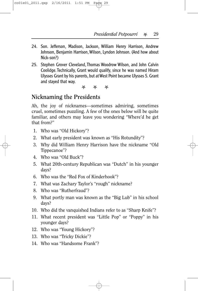- 24. Son. Jefferson, Madison, Jackson, William Henry Harrison, Andrew Johnson, Benjamin Harrison, Wilson, Lyndon Johnson. (And how about Nick-son?)
- 25. Stephen Grover Cleveland, Thomas Woodrow Wilson, and John Calvin Coolidge.Technically, Grant would qualify, since he was named Hiram Ulysses Grant by his parents, but at West Point became Ulysses S. Grant and stayed that way.

 $\begin{array}{ccc} \mathbb{X} & \mathbb{X} & \mathbb{X} \end{array}$ 

#### **Nicknaming the Presidents**

Ah, the joy of nicknames—sometimes admiring, sometimes cruel, sometimes puzzling. A few of the ones below will be quite familiar, and others may leave you wondering "Where'd he get that from?"

- 1. Who was "Old Hickory"?
- 2. What early president was known as "His Rotundity"?
- 3. Why did William Henry Harrison have the nickname "Old Tippecanoe"?
- 4. Who was "Old Buck"?
- 5. What 20th-century Republican was "Dutch" in his younger days?
- 6. Who was the "Red Fox of Kinderhook"?
- 7. What was Zachary Taylor's "rough" nickname?
- 8. Who was "Rutherfraud"?
- 9. What portly man was known as the "Big Lub" in his school days?
- 10. Who did the vanquished Indians refer to as "Sharp Knife"?
- 11. What recent president was "Little Pop" or "Poppy" in his younger days?
- 12. Who was "Young Hickory"?
- 13. Who was "Tricky Dickie"?
- 14. Who was "Handsome Frank"?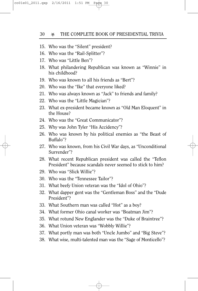- 15. Who was the "Silent" president?
- 16. Who was the "Rail-Splitter"?
- 17. Who was "Little Ben"?
- 18. What philandering Republican was known as "Winnie" in his childhood?
- 19. Who was known to all his friends as "Bert"?
- 20. Who was the "Ike" that everyone liked?
- 21. Who was always known as "Jack" to friends and family?
- 22. Who was the "Little Magician"?
- 23. What ex-president became known as "Old Man Eloquent" in the House?
- 24. Who was the "Great Communicator"?
- 25. Why was John Tyler "His Accidency"?
- 26. Who was known by his political enemies as "the Beast of Buffalo"?
- 27. Who was known, from his Civil War days, as "Unconditional Surrender"?
- 28. What recent Republican president was called the "Teflon President" because scandals never seemed to stick to him?
- 29. Who was "Slick Willie"?
- 30. Who was the "Tennessee Tailor"?
- 31. What beefy Union veteran was the "Idol of Ohio"?
- 32. What dapper gent was the "Gentleman Boss" and the "Dude President"?
- 33. What Southern man was called "Hot" as a boy?
- 34. What former Ohio canal worker was "Boatman Jim"?
- 35. What rotund New Englander was the "Duke of Braintree"?
- 36. What Union veteran was "Wobbly Willie"?
- 37. What portly man was both "Uncle Jumbo" and "Big Steve"?
- 38. What wise, multi-talented man was the "Sage of Monticello"?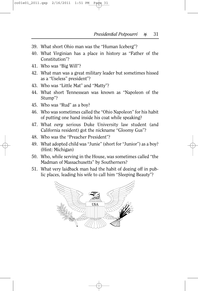- 39. What short Ohio man was the "Human Iceberg"?
- 40. What Virginian has a place in history as "Father of the Constitution"?
- 41. Who was "Big Will"?
- 42. What man was a great military leader but sometimes hissed as a "Useless" president"?
- 43. Who was "Little Mat" and "Matty"?
- 44. What short Tennessean was known as "Napoleon of the Stump"?
- 45. Who was "Rud" as a boy?
- 46. Who was sometimes called the "Ohio Napoleon" for his habit of putting one hand inside his coat while speaking?
- 47. What *very* serious Duke University law student (and California resident) got the nickname "Gloomy Gus"?
- 48. Who was the "Preacher President"?
- 49. What adopted child was "Junie" (short for "Junior") as a boy? (Hint: Michigan)
- 50. Who, while serving in the House, was sometimes called "the Madman of Massachusetts" by Southerners?
- 51. What very laidback man had the habit of dozing off in public places, leading his wife to call him "Sleeping Beauty"?

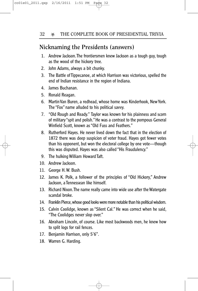#### **Nicknaming the Presidents (answers)**

- 1. Andrew Jackson.The frontiersmen knew Jackson as a tough guy, tough as the wood of the hickory tree.
- 2. John Adams, always a bit chunky.
- 3. The Battle of Tippecanoe, at which Harrison was victorious, spelled the end of Indian resistance in the region of Indiana.
- 4. James Buchanan.
- 5. Ronald Reagan.
- 6. Martin Van Buren, a redhead, whose home was Kinderhook, New York. The "Fox" name alluded to his political savvy.
- 7. "Old Rough and Ready." Taylor was known for his plainness and scorn of military "spit and polish." He was a contrast to the pompous General Winfield Scott, known as "Old Fuss and Feathers."
- 8. Rutherford Hayes. He never lived down the fact that in the election of 1872 there was deep suspicion of voter fraud. Hayes got fewer votes than his opponent, but won the electoral college by one vote—though this was disputed. Hayes was also called "His Fraudulency."
- 9. The hulking William Howard Taft.
- 10. Andrew Jackson.
- 11. George H. W. Bush.
- 12. James K. Polk, a follower of the principles of "Old Hickory," Andrew Jackson, a Tennessean like himself.
- 13. Richard Nixon.The name really came into wide use after the Watergate scandal broke.
- 14. Franklin Pierce,whose good looks were more notable than his political wisdom.
- 15. Calvin Coolidge, known as "Silent Cal." He was correct when he said, "The Coolidges never slop over."
- 16. Abraham Lincoln, of course. Like most backwoods men, he knew how to split logs for rail fences.
- 17. Benjamin Harrison, only 5'6".
- 18. Warren G. Harding.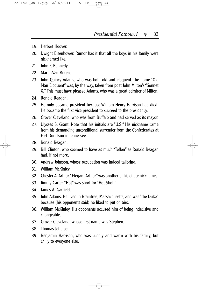- 19. Herbert Hoover.
- 20. Dwight Eisenhower. Rumor has it that all the boys in his family were nicknamed Ike.
- 21. John F. Kennedy.
- 22. Martin Van Buren.
- 23. John Quincy Adams, who was both old and eloquent. The name "Old Man Eloquent" was, by the way, taken from poet John Milton's "Sonnet X." This must have pleased Adams, who was a great admirer of Milton.
- 24. Ronald Reagan.
- 25. He only became president because William Henry Harrison had died. He became the first vice president to succeed to the presidency.
- 26. Grover Cleveland, who was from Buffalo and had served as its mayor.
- 27. Ulysses S. Grant. Note that his initials are "U.S." His nickname came from his demanding unconditional surrender from the Confederates at Fort Donelson in Tennessee.
- 28. Ronald Reagan.
- 29. Bill Clinton, who seemed to have as much "Teflon" as Ronald Reagan had, if not more.
- 30. Andrew Johnson, whose occupation was indeed tailoring.
- 31. William McKinley.
- 32. Chester A. Arthur."Elegant Arthur"was another of his effete nicknames.
- 33. Jimmy Carter."Hot" was short for "Hot Shot."
- 34. James A. Garfield.
- 35. John Adams. He lived in Braintree, Massachusetts, and was "the Duke" because (his opponents said) he liked to put on airs.
- 36. William McKinley. His opponents accused him of being indecisive and changeable.
- 37. Grover Cleveland, whose first name was Stephen.
- 38. Thomas Jefferson.
- 39. Benjamin Harrison, who was cuddly and warm with his family, but chilly to everyone else.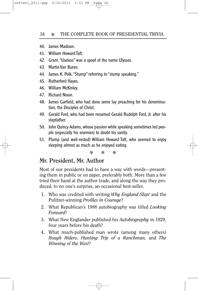- 40. James Madison.
- 41. William Howard Taft.
- 42. Grant."Useless" was a spoof of the name Ulysses.
- 43. Martin Van Buren.
- 44. James K. Polk."Stump" referring to "stump speaking."
- 45. Rutherford Hayes.
- 46. William McKinley.
- 47. Richard Nixon.
- 48. James Garfield, who had done some lay preaching for his denomination, the Disciples of Christ.
- 49. Gerald Ford, who had been renamed Gerald Rudolph Ford, Jr. after his stepfather.
- 50. John Quincy Adams, whose passion while speaking sometimes led people (especially his enemies) to doubt his sanity.
- 51. Plump (and well-rested) William Howard Taft, who seemed to enjoy sleeping almost as much as he enjoyed eating.

U U U

# **Mr. President, Mr. Author**

Most of our presidents had to have a way with words—presenting them in public or on paper, preferably both. More than a few tried their hand at the author trade, and along the way they produced, to no one's surprise, an occasional best-seller.

- 1. Who was credited with writing *Why England Slept* and the Pulitzer-winning *Profiles in Courage*?
- 2. What Republican's 1988 autobiography was titled *Looking Forward*?
- 3. What New Englander published his *Autobiography* in 1929, four years before his death?
- 4. What much-published man wrote (among many others) *Rough Riders, Hunting Trip of a Ranchman,* and *The Winning of the West*?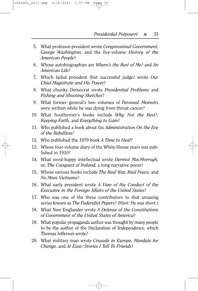- 5. What professor-president wrote *Congressional Government, George Washington,* and the five-volume *History of the American People*?
- 6. Whose autobiographies are *Where's the Rest of Me?* and *An American Life*?
- 7. Which failed president (but successful judge) wrote *Our Chief Magistrate and His Power*?
- 8. What chunky Democrat wrote *Presidential Problems* and *Fishing and Shooting Sketches*?
- 9. What former general's two volumes of *Personal Memoirs* were written while he was dying from throat cancer?
- 10. What Southerner's books include *Why Not the Best?, Keeping Faith,* and *Everything to Gain*?
- 11. Who published a book about his *Administration On the Eve of the Rebellion?*
- 12. Who published the 1979 book *A Time to Heal*?
- 13. Whose four-volume diary of the White House years was published in 1910?
- 14. What word-happy intellectual wrote *Dermot MacMorrogh, or, The Conquest of Ireland,* a long narrative poem?
- 15. Whose various books include *The Real War, Real Peace,* and *No More Vietnams*?
- 16. What early president wrote *A View of the Conduct of the Executive in the Foreign Affairs of the United States*?
- 17. Who was one of the three contributors to that amazing series known as *The Federalist Papers*? (Hint: He was short.)
- 18. What New Englander wrote *A Defense of the Constitutions of Government of the United States of America*?
- 19. What popular propaganda author was thought by many people to be the author of the Declaration of Independence, which Thomas Jefferson wrote?
- 20. What military man wrote *Crusade in Europe, Mandate for Change,* and *At Ease: Stories I Tell To Friends*?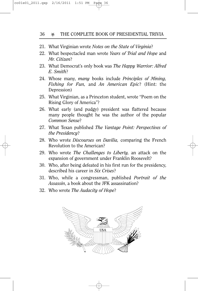#### 36 **WE THE COMPLETE BOOK OF PRESIDENTIAL TRIVIA**

- 21. What Virginian wrote *Notes on the State of Virginia*?
- 22. What bespectacled man wrote *Years of Trial and Hope* and *Mr. Citizen*?
- 23. What Democrat's only book was *The Happy Warrior: Alfred E. Smith*?
- 24. Whose many, *many* books include *Principles of Mining, Fishing for Fun,* and *An American Epic*? (Hint: the Depression)
- 25. What Virginian, as a Princeton student, wrote "Poem on the Rising Glory of America"?
- 26. What early (and pudgy) president was flattered because many people thought he was the author of the popular *Common Sense*?
- 27. What Texan published *The Vantage Point: Perspectives of the Presidency*?
- 28. Who wrote *Discourses on Davilia,* comparing the French Revolution to the American?
- 29. Who wrote *The Challenges to Liberty,* an attack on the expansion of government under Franklin Roosevelt?
- 30. Who, after being defeated in his first run for the presidency, described his career in *Six Crises*?
- 31. Who, while a congressman, published *Portrait of the Assassin*, a book about the JFK assassination?
- 32. Who wrote *The Audacity of Hope*?

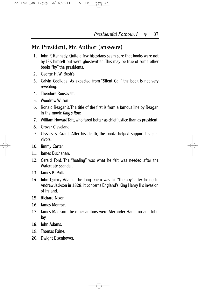#### **Mr. President, Mr. Author (answers)**

- 1. John F. Kennedy. Quite a few historians seem sure that books were not by JFK himself but were ghostwritten.This may be true of some other books "by" the presidents.
- 2. George H. W. Bush's.
- 3. Calvin Coolidge. As expected from "Silent Cal," the book is not very revealing.
- 4. Theodore Roosevelt.
- 5. Woodrow Wilson.
- 6. Ronald Reagan's.The title of the first is from a famous line by Reagan in the movie *King's Row.*
- 7. William Howard Taft, who fared better as chief justice than as president.
- 8. Grover Cleveland.
- 9. Ulysses S. Grant. After his death, the books helped support his survivors.
- 10. Jimmy Carter.
- 11 **James Buchanan.**
- 12. Gerald Ford. The "healing" was what he felt was needed after the Watergate scandal.
- 13. James K. Polk.
- 14. John Quincy Adams. The long poem was his "therapy" after losing to Andrew Jackson in 1828. It concerns England's King Henry II's invasion of Ireland.
- 15. Richard Nixon.
- 16. James Monroe.
- 17. James Madison. The other authors were Alexander Hamilton and John Jay.
- 18. John Adams.
- 19. Thomas Paine.
- 20. Dwight Eisenhower.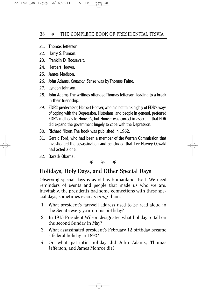- 21. Thomas Jefferson.
- 22. Harry S.Truman.
- 23. Franklin D. Roosevelt.
- 24. Herbert Hoover.
- 25. James Madison.
- 26. John Adams. *Common Sense* was by Thomas Paine.
- 27. Lyndon Johnson.
- 28. John Adams.The writings offended Thomas Jefferson, leading to a break in their friendship.
- 29. FDR's predecessor, Herbert Hoover, who did not think highly of FDR's ways of coping with the Depression. Historians, and people in general, preferred FDR's methods to Hoover's, but Hoover was correct in asserting that FDR did expand the government hugely to cope with the Depression.
- 30. Richard Nixon.The book was published in 1962.
- 31. Gerald Ford, who had been a member of the Warren Commission that investigated the assassination and concluded that Lee Harvey Oswald had acted alone.
- 32. Barack Obama.

#### **X** X

## **Holidays, Holy Days, and Other Special Days**

Observing special days is as old as humankind itself. We need reminders of events and people that made us who we are. Inevitably, the presidents had some connections with these special days, sometimes even *creating* them.

- 1. What president's farewell address used to be read aloud in the Senate every year on his birthday?
- 2. In 1915 President Wilson designated what holiday to fall on the second Sunday in May?
- 3. What assassinated president's February 12 birthday became a federal holiday in 1892?
- 4. On what patriotic holiday did John Adams, Thomas Jefferson, and James Monroe die?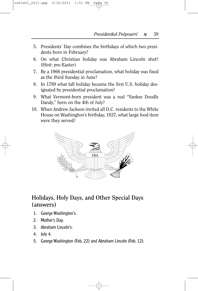- 5. Presidents' Day combines the birthdays of which two presidents born in February?
- 6. On what Christian holiday was Abraham Lincoln shot? (Hint: pre-Easter)
- 7. By a 1966 presidential proclamation, what holiday was fixed as the third Sunday in June?
- 8. In 1789 what fall holiday became the first U.S. holiday designated by presidential proclamation?
- 9. What Vermont-born president was a real "Yankee Doodle Dandy," born on the 4th of July?
- 10. When Andrew Jackson invited all D.C. residents to the White House on Washington's birthday, 1837, what large food item were they served?



# **Holidays, Holy Days, and Other Special Days (answers)**

- 1. George Washington's.
- 2. Mother's Day.
- 3. Abraham Lincoln's.
- 4. July 4.
- 5. George Washington (Feb. 22) and Abraham Lincoln (Feb. 12).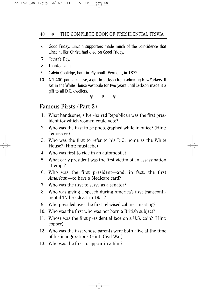- 6. Good Friday. Lincoln supporters made much of the coincidence that Lincoln, like Christ, had died on Good Friday.
- 7. Father's Day.
- 8. Thanksgiving.
- 9. Calvin Coolidge, born in Plymouth, Vermont, in 1872.
- 10. A 1,400-pound cheese, a gift to Jackson from admiring New Yorkers. It sat in the White House vestibule for two years until Jackson made it a gift to all D.C. dwellers.

**X** X

## **Famous Firsts (Part 2)**

- 1. What handsome, silver-haired Republican was the first president for which women could vote?
- 2. Who was the first to be photographed while in office? (Hint: Tennessee)
- 3. Who was the first to refer to his D.C. home as the White House? (Hint: mustache)
- 4. Who was first to ride in an automobile?
- 5. What early president was the first victim of an assassination attempt?
- 6. Who was the first president—and, in fact, the first *American*—to have a Medicare card?
- 7. Who was the first to serve as a senator?
- 8. Who was giving a speech during America's first transcontinental TV broadcast in 1951?
- 9. Who presided over the first televised cabinet meeting?
- 10. Who was the first who was not born a British subject?
- 11. Whose was the first presidential face on a U.S. coin? (Hint: copper)
- 12. Who was the first whose parents were both alive at the time of his inauguration? (Hint: Civil War)
- 13. Who was the first to appear in a film?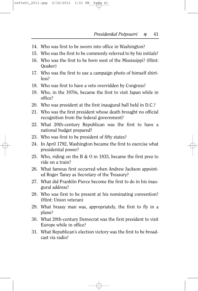- 14. Who was first to be sworn into office in Washington?
- 15. Who was the first to be commonly referred to by his initials?
- 16. Who was the first to be born west of the Mississippi? (Hint: Quaker)
- 17. Who was the first to use a campaign photo of himself shirtless?
- 18. Who was first to have a veto overridden by Congress?
- 19. Who, in the 1970s, became the first to visit Japan while in office?
- 20. Who was president at the first inaugural ball held in D.C.?
- 21. Who was the first president whose death brought no official recognition from the federal government?
- 22. What 20th-century Republican was the first to have a national budget prepared?
- 23. Who was first to be president of fifty states?
- 24. In April 1792, Washington became the first to exercise what presidential power?
- 25. Who, riding on the B & O in 1833, became the first prez to ride on a train?
- 26. What famous first occurred when Andrew Jackson appointed Roger Taney as Secretary of the Treasury?
- 27. What did Franklin Pierce become the first to do in his inaugural address?
- 28. Who was first to be present at his nominating convention? (Hint: Union veteran)
- 29. What brassy man was, appropriately, the first to fly in a plane?
- 30. What 20th-century Democrat was the first president to visit Europe while in office?
- 31. What Republican's election victory was the first to be broadcast via radio?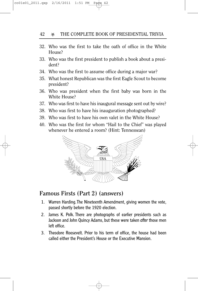#### 42 **X** THE COMPLETE BOOK OF PRESIDENTIAL TRIVIA

- 32. Who was the first to take the oath of office in the White House?
- 33. Who was the first president to publish a book about a president?
- 34. Who was the first to assume office during a major war?
- 35. What honest Republican was the first Eagle Scout to become president?
- 36. Who was president when the first baby was born in the White House?
- 37. Who was first to have his inaugural message sent out by wire?
- 38. Who was first to have his inauguration photographed?
- 39. Who was first to have his own valet in the White House?
- 40. Who was the first for whom "Hail to the Chief" was played whenever he entered a room? (Hint: Tennessean)



#### **Famous Firsts (Part 2) (answers)**

- 1. Warren Harding.The Nineteenth Amendment, giving women the vote, passed shortly before the 1920 election.
- 2. James K. Polk. There are photographs of earlier presidents such as Jackson and John Quincy Adams, but these were taken *after* those men left office.
- 3. Theodore Roosevelt. Prior to his term of office, the house had been called either the President's House or the Executive Mansion.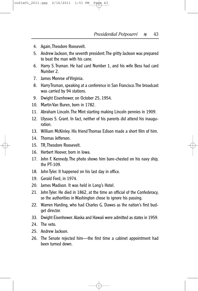- 4. Again,Theodore Roosevelt.
- 5. Andrew Jackson, the seventh president.The gritty Jackson was prepared to beat the man with his cane.
- 6. Harry S.Truman. He had card Number 1, and his wife Bess had card Number 2.
- 7. James Monroe of Virginia.
- 8. Harry Truman, speaking at a conference in San Francisco.The broadcast was carried by 94 stations.
- 9. Dwight Eisenhower, on October 25, 1954.
- 10. Martin Van Buren, born in 1782.
- 11. Abraham Lincoln.The Mint starting making Lincoln pennies in 1909.
- 12. Ulysses S. Grant. In fact, neither of his parents did attend his inauguration.
- 13. William McKinley. His friend Thomas Edison made a short film of him.
- 14. Thomas Jefferson.
- 15. TR,Theodore Roosevelt.
- 16. Herbert Hoover, born in Iowa.
- 17. John F. Kennedy.The photo shows him bare-chested on his navy ship, the PT-109.
- 18. John Tyler. It happened on his last day in office.
- 19. Gerald Ford, in 1974.
- 20. James Madison. It was held in Long's Hotel.
- 21. John Tyler. He died in 1862, at the time an official of the Confederacy, so the authorities in Washington chose to ignore his passing.
- 22. Warren Harding, who had Charles G. Dawes as the nation's first budget director.
- 33. Dwight Eisenhower. Alaska and Hawaii were admitted as states in 1959.
- 24. The veto.
- 25. Andrew Jackson.
- 26. The Senate rejected him—the first time a cabinet appointment had been turned down.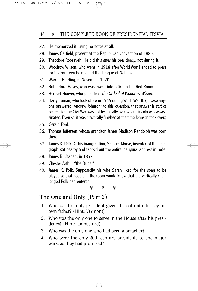- 27. He memorized it, using no notes at all.
- 28. James Garfield, present at the Republican convention of 1880.
- 29. Theodore Roosevelt. He did this *after* his presidency, not during it.
- 30. Woodrow Wilson, who went in 1918 after World War I ended to press for his Fourteen Points and the League of Nations.
- 31. Warren Harding, in November 1920.
- 32. Rutherford Hayes, who was sworn into office in the Red Room.
- 33. Herbert Hoover, who published *The Ordeal of Woodrow Wilson.*
- 34. Harry Truman, who took office in 1945 during World War II. (In case anyone answered "Andrew Johnson" to this question, that answer is *sort of* correct, for the Civil War was not technically over when Lincoln was assassinated. Even so, it was practically finished at the time Johnson took over.)
- 35. Gerald Ford.
- 36. Thomas Jefferson, whose grandson James Madison Randolph was born there.
- 37. James K. Polk. At his inauguration, Samuel Morse, inventor of the telegraph, sat nearby and tapped out the entire inaugural address in code.
- 38. James Buchanan, in 1857.
- 39. Chester Arthur,"the Dude."
- 40. James K. Polk. Supposedly his wife Sarah liked for the song to be played so that people in the room would know that the vertically challenged Polk had entered.

长 女 女

#### **The One and Only (Part 2)**

- 1. Who was the only president given the oath of office by his own father? (Hint: Vermont)
- 2. Who was the only one to serve in the House after his presidency? (Hint: famous dad)
- 3. Who was the only one who had been a preacher?
- 4. Who were the only 20th-century presidents to end major wars, as they had promised?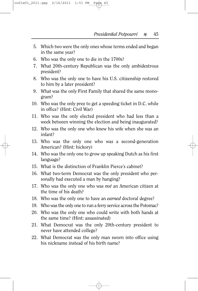- 5. Which two were the only ones whose terms ended and began in the same year?
- 6. Who was the only one to die in the 1700s?
- 7. What 20th-century Republican was the only ambidextrous president?
- 8. Who was the only one to have his U.S. citizenship restored to him by a later president?
- 9. What was the only First Family that shared the same monogram?
- 10. Who was the only prez to get a speeding ticket in D.C. while in office? (Hint: Civil War)
- 11. Who was the only elected president who had less than a week between winning the election and being inaugurated?
- 12. Who was the only one who knew his wife when she was an infant?
- 13. Who was the only one who was a second-generation American? (Hint: hickory)
- 14. Who was the only one to grow up speaking Dutch as his first language?
- 15. What is the distinction of Franklin Pierce's cabinet?
- 16. What two-term Democrat was the only president who personally had executed a man by hanging?
- 17. Who was the only one who was *not* an American citizen at the time of his death?
- 18. Who was the only one to have an *earned* doctoral degree?
- 19. Who was the only one to run a ferry service across the Potomac?
- 20. Who was the only one who could write with both hands at the same time? (Hint: assassinated)
- 21. What Democrat was the only 20th-century president to never have attended college?
- 22. What Democrat was the only man sworn into office using his nickname instead of his birth name?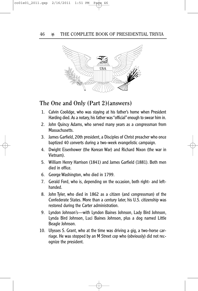

# **The One and Only (Part 2)(answers)**

- 1. Calvin Coolidge, who was staying at his father's home when President Harding died. As a notary, his father was "official"enough to swear him in.
- 2. John Quincy Adams, who served many years as a congressman from Massachusetts.
- 3. James Garfield, 20th president, a Disciples of Christ preacher who once baptized 40 converts during a two-week evangelistic campaign.
- 4. Dwight Eisenhower (the Korean War) and Richard Nixon (the war in Vietnam).
- 5. William Henry Harrison (1841) and James Garfield (1881). Both men died in office.
- 6. George Washington, who died in 1799.
- 7. Gerald Ford, who is, depending on the occasion, both right- and lefthanded.
- 8. John Tyler, who died in 1862 as a citizen (and congressman) of the Confederate States. More than a century later, his U.S. citizenship was restored during the Carter administration.
- 9. Lyndon Johnson's—with Lyndon Baines Johnson, Lady Bird Johnson, Lynda Bird Johnson, Luci Baines Johnson, plus a dog named Little Beagle Johnson.
- 10. Ulysses S. Grant, who at the time was driving a gig, a two-horse carriage. He was stopped by an M Street cop who (obviously) did not recognize the president.